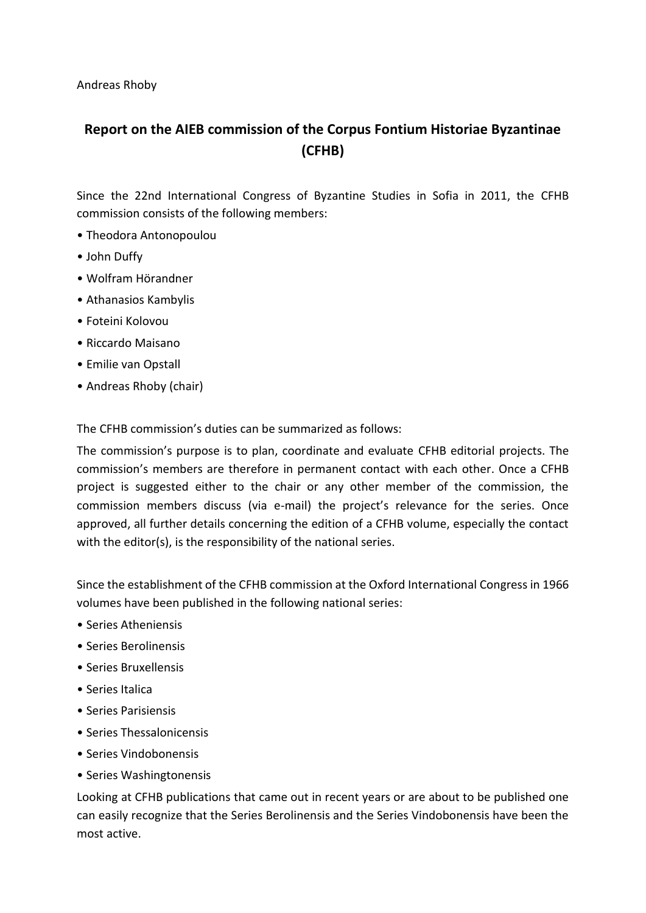Andreas Rhoby

## **Report on the AIEB commission of the Corpus Fontium Historiae Byzantinae (CFHB)**

Since the 22nd International Congress of Byzantine Studies in Sofia in 2011, the CFHB commission consists of the following members:

- Theodora Antonopoulou
- John Duffy
- Wolfram Hörandner
- Athanasios Kambylis
- Foteini Kolovou
- Riccardo Maisano
- Emilie van Opstall
- Andreas Rhoby (chair)

The CFHB commission's duties can be summarized as follows:

The commission's purpose is to plan, coordinate and evaluate CFHB editorial projects. The commission's members are therefore in permanent contact with each other. Once a CFHB project is suggested either to the chair or any other member of the commission, the commission members discuss (via e-mail) the project's relevance for the series. Once approved, all further details concerning the edition of a CFHB volume, especially the contact with the editor(s), is the responsibility of the national series.

Since the establishment of the CFHB commission at the Oxford International Congress in 1966 volumes have been published in the following national series:

- Series Atheniensis
- Series Berolinensis
- Series Bruxellensis
- Series Italica
- Series Parisiensis
- Series Thessalonicensis
- Series Vindobonensis
- Series Washingtonensis

Looking at CFHB publications that came out in recent years or are about to be published one can easily recognize that the Series Berolinensis and the Series Vindobonensis have been the most active.